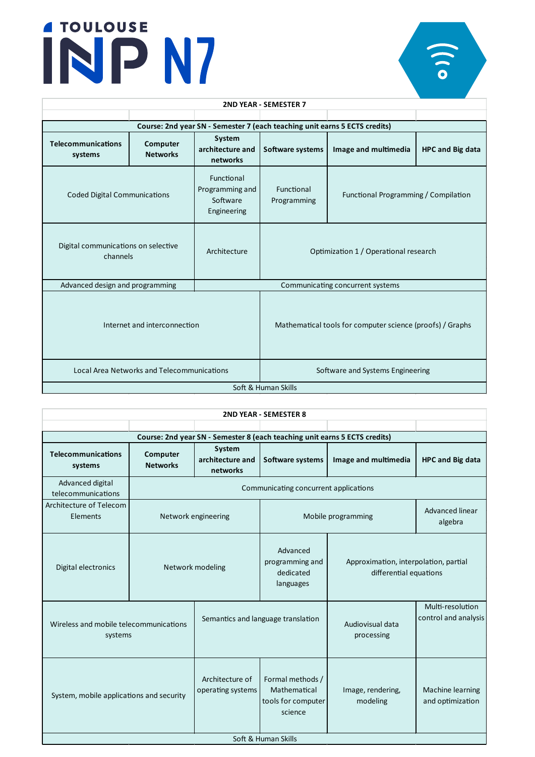| <b>2ND YEAR - SEMESTER 7</b>                    |                                            |                                                          |                                                                            |                                                 |  |  |
|-------------------------------------------------|--------------------------------------------|----------------------------------------------------------|----------------------------------------------------------------------------|-------------------------------------------------|--|--|
|                                                 |                                            |                                                          |                                                                            |                                                 |  |  |
|                                                 |                                            |                                                          | Course: 2nd year SN - Semester 7 (each teaching unit earns 5 ECTS credits) |                                                 |  |  |
| <b>Telecommunications</b><br>systems            | Computer<br><b>Networks</b>                | System<br>architecture and<br>networks                   | Software systems                                                           | <b>HPC and Big data</b><br>Image and multimedia |  |  |
| <b>Coded Digital Communications</b>             |                                            | Functional<br>Programming and<br>Software<br>Engineering | Functional<br>Programming                                                  | Functional Programming / Compilation            |  |  |
| Digital communications on selective<br>channels |                                            | Architecture                                             | Optimization 1 / Operational research                                      |                                                 |  |  |
| Advanced design and programming                 |                                            |                                                          |                                                                            | Communicating concurrent systems                |  |  |
| Internet and interconnection                    |                                            |                                                          | Mathematical tools for computer science (proofs) / Graphs                  |                                                 |  |  |
|                                                 | Local Area Networks and Telecommunications |                                                          |                                                                            | Software and Systems Engineering                |  |  |
| Soft & Human Skills                             |                                            |                                                          |                                                                            |                                                 |  |  |

| <b>2ND YEAR - SEMESTER 8</b>                                               |                             |                                        |                                                                   |                                                                 |                                          |  |
|----------------------------------------------------------------------------|-----------------------------|----------------------------------------|-------------------------------------------------------------------|-----------------------------------------------------------------|------------------------------------------|--|
|                                                                            |                             |                                        |                                                                   |                                                                 |                                          |  |
| Course: 2nd year SN - Semester 8 (each teaching unit earns 5 ECTS credits) |                             |                                        |                                                                   |                                                                 |                                          |  |
| <b>Telecommunications</b><br>systems                                       | Computer<br><b>Networks</b> | System<br>architecture and<br>networks | <b>Software systems</b>                                           | Image and multimedia                                            | <b>HPC and Big data</b>                  |  |
| Advanced digital<br>telecommunications                                     |                             |                                        |                                                                   | Communicating concurrent applications                           |                                          |  |
| Architecture of Telecom<br>Elements                                        | Network engineering         |                                        | Mobile programming                                                |                                                                 | Advanced linear<br>algebra               |  |
| Digital electronics                                                        | Network modeling            |                                        | Advanced<br>programming and<br>dedicated<br>languages             | Approximation, interpolation, partial<br>differential equations |                                          |  |
| Wireless and mobile telecommunications<br>systems                          |                             | Semantics and language translation     |                                                                   | Audiovisual data<br>processing                                  | Multi-resolution<br>control and analysis |  |
| System, mobile applications and security                                   |                             | Architecture of<br>operating systems   | Formal methods /<br>Mathematical<br>tools for computer<br>science | Image, rendering,<br>modeling                                   | Machine learning<br>and optimization     |  |
| Soft & Human Skills                                                        |                             |                                        |                                                                   |                                                                 |                                          |  |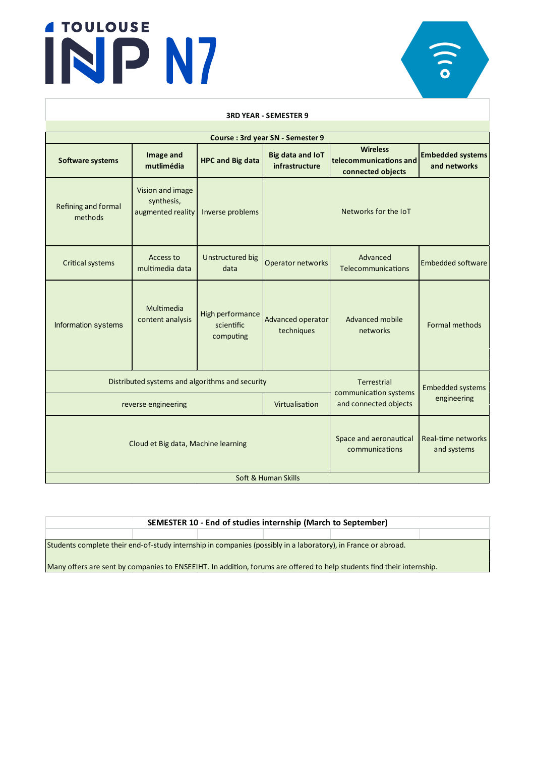

### **Software** systems **and Image** and **h**<br>**hlh**<br>**h**<br>**Big data Big data and IoT infrastructure Wireless telecommunica�ons and connected objects Embedded systems and networks** Refining and formal methods Vision and image synthesis, augmented reality | Inverse problems Critical systems Access to multimedia data Unstructured big uctured big  $\begin{array}{|c|c|c|c|c|}\n\hline\n\text{data} & \text{Operator networks} & \text{Ielecommunica}\n\end{array}$ Advanced Embedded software Space and aeronautical communications Real-time networks and systems **Course : 3rd year SN - Semester 9** Networks for the IoT Multimedia content analysis High performance scientific computing Advanced operator techniques extending anti-Soft & Human Skills Distributed systems and algorithms and security Terrestrial communication systems reverse engineering and communication of the engineering reverse engineering reverse engineering Embedded systems Cloud et Big data, Machine learning Information systems **3RD YEAR - SEMESTER 9** Advanced mobile networks

| SEMESTER 10 - End of studies internship (March to September)                                                           |  |  |  |  |  |  |  |
|------------------------------------------------------------------------------------------------------------------------|--|--|--|--|--|--|--|
|                                                                                                                        |  |  |  |  |  |  |  |
| Students complete their end-of-study internship in companies (possibly in a laboratory), in France or abroad.          |  |  |  |  |  |  |  |
| Many offers are sent by companies to ENSEEIHT. In addition, forums are offered to help students find their internship. |  |  |  |  |  |  |  |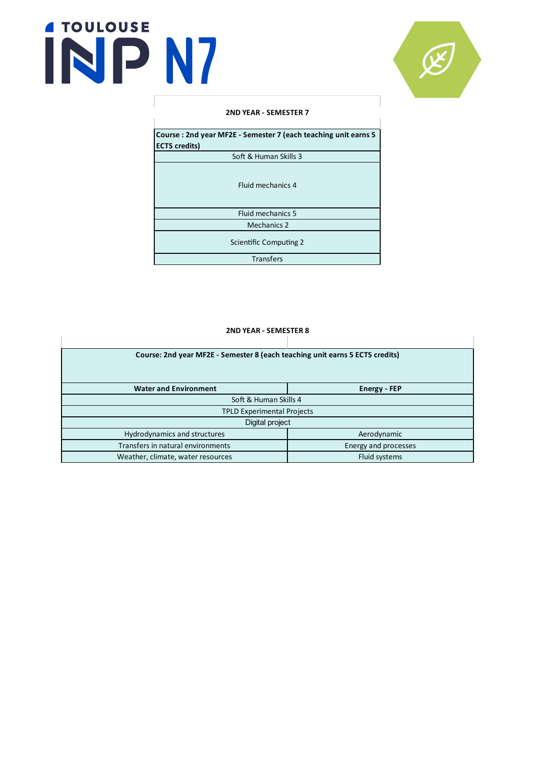

### **2ND YEAR - SEMESTER 7**

**Course : 2nd year MF2E - Semester 7 (each teaching unit earns 5 ECTS credits)**

Soft & Human Skills 3

Fluid mechanics 4

Fluid mechanics 5

Mechanics 2

Scientific Computing 2

Transfers

| <b>2ND YEAR - SEMESTER 8</b>                                                 |                     |  |  |  |  |  |
|------------------------------------------------------------------------------|---------------------|--|--|--|--|--|
|                                                                              |                     |  |  |  |  |  |
| Course: 2nd year MF2E - Semester 8 (each teaching unit earns 5 ECTS credits) |                     |  |  |  |  |  |
|                                                                              |                     |  |  |  |  |  |
|                                                                              |                     |  |  |  |  |  |
| <b>Water and Environment</b>                                                 | <b>Energy - FEP</b> |  |  |  |  |  |
| Soft & Human Skills 4                                                        |                     |  |  |  |  |  |
| <b>TPLD Experimental Projects</b>                                            |                     |  |  |  |  |  |
| Digital project                                                              |                     |  |  |  |  |  |
| Hydrodynamics and structures                                                 | Aerodynamic         |  |  |  |  |  |
| Transfers in natural environments<br>Energy and processes                    |                     |  |  |  |  |  |
| <b>Fluid systems</b><br>Weather, climate, water resources                    |                     |  |  |  |  |  |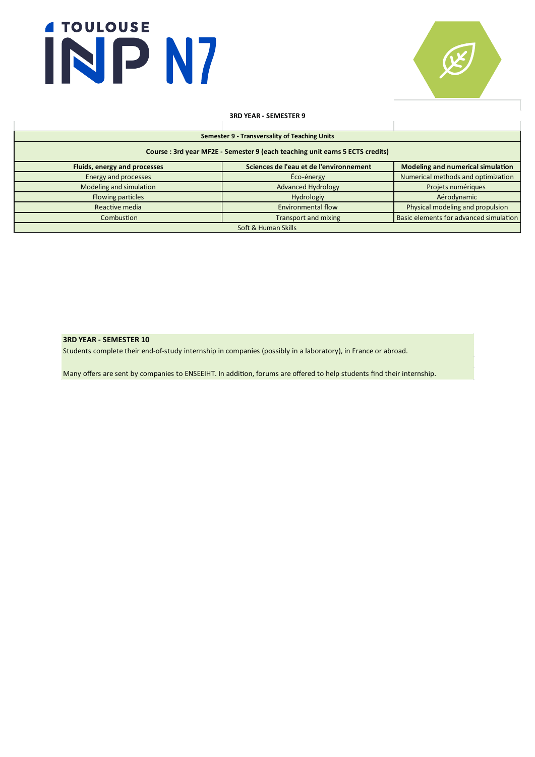

### **3RD YEAR - SEMESTER 9**

| Semester 9 - Transversality of Teaching Units                                 |                                         |                                          |  |  |  |  |
|-------------------------------------------------------------------------------|-----------------------------------------|------------------------------------------|--|--|--|--|
| Course : 3rd year MF2E - Semester 9 (each teaching unit earns 5 ECTS credits) |                                         |                                          |  |  |  |  |
| Fluids, energy and processes                                                  | Sciences de l'eau et de l'environnement | <b>Modeling and numerical simulation</b> |  |  |  |  |
| Energy and processes                                                          | Éco-énergy                              | Numerical methods and optimization       |  |  |  |  |
| Modeling and simulation                                                       | <b>Advanced Hydrology</b>               | Projets numériques                       |  |  |  |  |
| Flowing particles                                                             | Hydrologiy                              | Aérodynamic                              |  |  |  |  |
| Reactive media                                                                | <b>Environmental flow</b>               | Physical modeling and propulsion         |  |  |  |  |
| Combustion                                                                    | <b>Transport and mixing</b>             | Basic elements for advanced simulation   |  |  |  |  |
| Soft & Human Skills                                                           |                                         |                                          |  |  |  |  |

### **3RD YEAR - SEMESTER 10**

Students complete their end-of-study internship in companies (possibly in a laboratory), in France or abroad.

Many offers are sent by companies to ENSEEIHT. In addition, forums are offered to help students find their internship.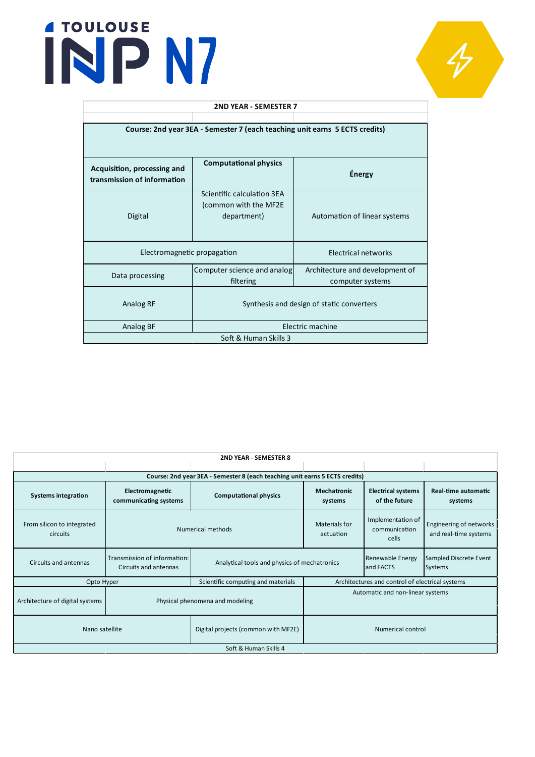

| 2ND YEAR - SEMESTER 7                                                       |                                                                     |                                                     |  |  |  |  |
|-----------------------------------------------------------------------------|---------------------------------------------------------------------|-----------------------------------------------------|--|--|--|--|
|                                                                             |                                                                     |                                                     |  |  |  |  |
| Course: 2nd year 3EA - Semester 7 (each teaching unit earns 5 ECTS credits) |                                                                     |                                                     |  |  |  |  |
| Acquisition, processing and<br>transmission of information                  | <b>Computational physics</b>                                        | <b>Énergy</b>                                       |  |  |  |  |
| Digital                                                                     | Scientific calculation 3EA<br>(common with the MF2E)<br>department) | Automation of linear systems                        |  |  |  |  |
| Electromagnetic propagation                                                 |                                                                     | Electrical networks                                 |  |  |  |  |
| Computer science and analog<br>Data processing<br>filtering                 |                                                                     | Architecture and development of<br>computer systems |  |  |  |  |
| Analog RF                                                                   | Synthesis and design of static converters                           |                                                     |  |  |  |  |
| Electric machine<br>Analog BF                                               |                                                                     |                                                     |  |  |  |  |
| Soft & Human Skills 3                                                       |                                                                     |                                                     |  |  |  |  |

| <b>2ND YEAR - SEMESTER 8</b>                     |                                                                             |                                              |                                                 |                                             |                                                  |  |  |
|--------------------------------------------------|-----------------------------------------------------------------------------|----------------------------------------------|-------------------------------------------------|---------------------------------------------|--------------------------------------------------|--|--|
|                                                  |                                                                             |                                              |                                                 |                                             |                                                  |  |  |
|                                                  | Course: 2nd year 3EA - Semester 8 (each teaching unit earns 5 ECTS credits) |                                              |                                                 |                                             |                                                  |  |  |
| <b>Systems integration</b>                       | Electromagnetic<br>communicating systems                                    | <b>Computational physics</b>                 | <b>Mechatronic</b><br>systems                   | <b>Electrical systems</b><br>of the future  | <b>Real-time automatic</b><br>systems            |  |  |
| From silicon to integrated<br>circuits           | Numerical methods                                                           |                                              | Materials for<br>actuation                      | Implementation of<br>communication<br>cells | Engineering of networks<br>and real-time systems |  |  |
| Circuits and antennas                            | Transmission of information:<br>Circuits and antennas                       | Analytical tools and physics of mechatronics |                                                 | Renewable Energy<br>and FACTS               | Sampled Discrete Event<br>Systems                |  |  |
| Scientific computing and materials<br>Opto Hyper |                                                                             |                                              | Architectures and control of electrical systems |                                             |                                                  |  |  |
| Architecture of digital systems                  | Physical phenomena and modeling                                             |                                              | Automatic and non-linear systems                |                                             |                                                  |  |  |
| Nano satellite                                   |                                                                             | Digital projects (common with MF2E)          | <b>Numerical control</b>                        |                                             |                                                  |  |  |
| Soft & Human Skills 4                            |                                                                             |                                              |                                                 |                                             |                                                  |  |  |